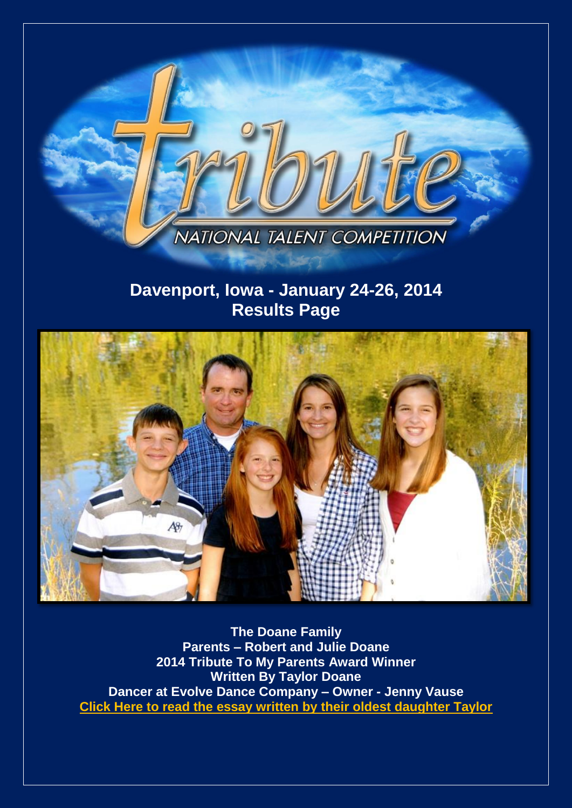

# **Davenport, Iowa - January 24-26, 2014 Results Page**



**The Doane Family Parents – Robert and Julie Doane 2014 Tribute To My Parents Award Winner Written By Taylor Doane Dancer at Evolve Dance Company – Owner - Jenny Vaus[e](http://www.tributetodance.com/2014/essays/davenport_essay14.pdf) [Click Here to read the essay written by their oldest daughter Taylor](http://www.tributetodance.com/2014/essays/davenport_essay14.pdf)**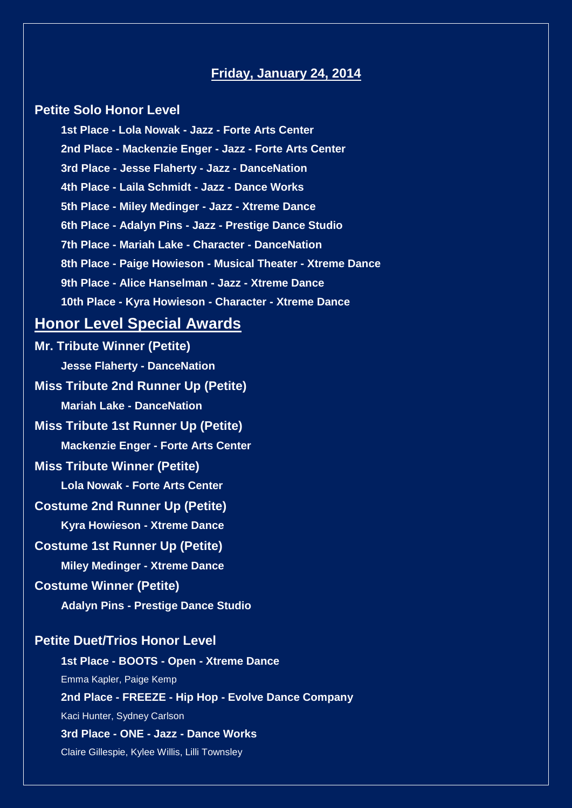# **Friday, January 24, 2014**

### **Petite Solo Honor Level**

**1st Place - Lola Nowak - Jazz - Forte Arts Center 2nd Place - Mackenzie Enger - Jazz - Forte Arts Center 3rd Place - Jesse Flaherty - Jazz - DanceNation 4th Place - Laila Schmidt - Jazz - Dance Works 5th Place - Miley Medinger - Jazz - Xtreme Dance 6th Place - Adalyn Pins - Jazz - Prestige Dance Studio 7th Place - Mariah Lake - Character - DanceNation 8th Place - Paige Howieson - Musical Theater - Xtreme Dance 9th Place - Alice Hanselman - Jazz - Xtreme Dance 10th Place - Kyra Howieson - Character - Xtreme Dance**

# **Honor Level Special Awards**

**Mr. Tribute Winner (Petite) Jesse Flaherty - DanceNation Miss Tribute 2nd Runner Up (Petite) Mariah Lake - DanceNation Miss Tribute 1st Runner Up (Petite) Mackenzie Enger - Forte Arts Center Miss Tribute Winner (Petite) Lola Nowak - Forte Arts Center Costume 2nd Runner Up (Petite) Kyra Howieson - Xtreme Dance Costume 1st Runner Up (Petite) Miley Medinger - Xtreme Dance Costume Winner (Petite) Adalyn Pins - Prestige Dance Studio Petite Duet/Trios Honor Level 1st Place - BOOTS - Open - Xtreme Dance**

Emma Kapler, Paige Kemp

**2nd Place - FREEZE - Hip Hop - Evolve Dance Company**

Kaci Hunter, Sydney Carlson

**3rd Place - ONE - Jazz - Dance Works** Claire Gillespie, Kylee Willis, Lilli Townsley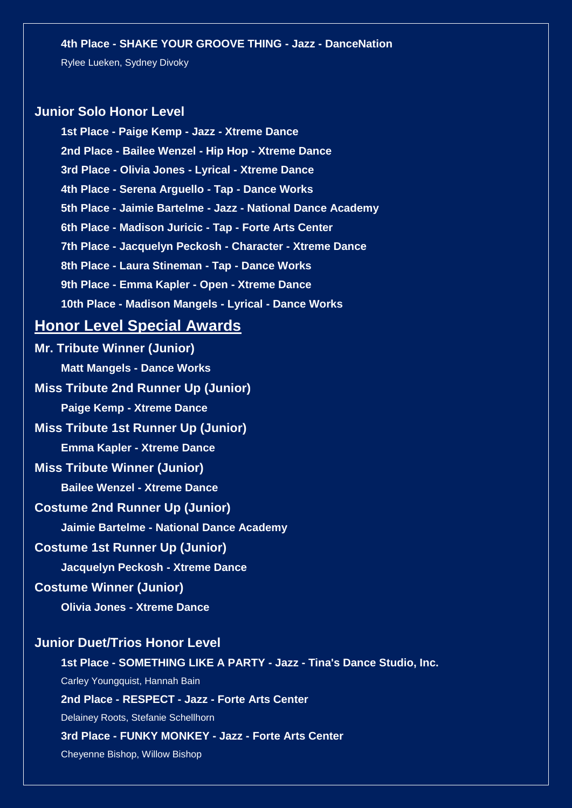#### **4th Place - SHAKE YOUR GROOVE THING - Jazz - DanceNation**

Rylee Lueken, Sydney Divoky

### **Junior Solo Honor Level**

**1st Place - Paige Kemp - Jazz - Xtreme Dance 2nd Place - Bailee Wenzel - Hip Hop - Xtreme Dance 3rd Place - Olivia Jones - Lyrical - Xtreme Dance 4th Place - Serena Arguello - Tap - Dance Works 5th Place - Jaimie Bartelme - Jazz - National Dance Academy 6th Place - Madison Juricic - Tap - Forte Arts Center 7th Place - Jacquelyn Peckosh - Character - Xtreme Dance 8th Place - Laura Stineman - Tap - Dance Works 9th Place - Emma Kapler - Open - Xtreme Dance 10th Place - Madison Mangels - Lyrical - Dance Works**

# **Honor Level Special Awards**

**Mr. Tribute Winner (Junior) Matt Mangels - Dance Works Miss Tribute 2nd Runner Up (Junior) Paige Kemp - Xtreme Dance Miss Tribute 1st Runner Up (Junior) Emma Kapler - Xtreme Dance Miss Tribute Winner (Junior) Bailee Wenzel - Xtreme Dance Costume 2nd Runner Up (Junior) Jaimie Bartelme - National Dance Academy Costume 1st Runner Up (Junior) Jacquelyn Peckosh - Xtreme Dance Costume Winner (Junior) Olivia Jones - Xtreme Dance Junior Duet/Trios Honor Level 1st Place - SOMETHING LIKE A PARTY - Jazz - Tina's Dance Studio, Inc.** Carley Youngquist, Hannah Bain **2nd Place - RESPECT - Jazz - Forte Arts Center**

Delainey Roots, Stefanie Schellhorn

#### **3rd Place - FUNKY MONKEY - Jazz - Forte Arts Center**

Cheyenne Bishop, Willow Bishop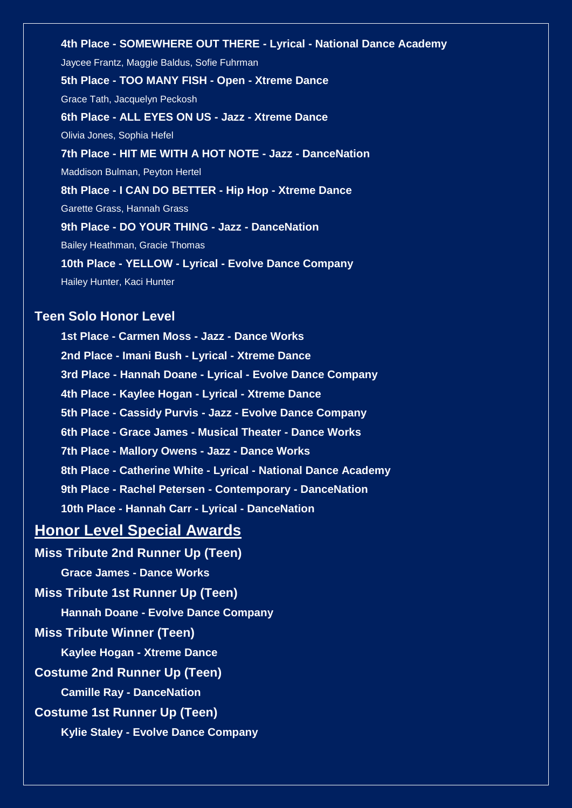**4th Place - SOMEWHERE OUT THERE - Lyrical - National Dance Academy** Jaycee Frantz, Maggie Baldus, Sofie Fuhrman **5th Place - TOO MANY FISH - Open - Xtreme Dance** Grace Tath, Jacquelyn Peckosh **6th Place - ALL EYES ON US - Jazz - Xtreme Dance** Olivia Jones, Sophia Hefel **7th Place - HIT ME WITH A HOT NOTE - Jazz - DanceNation** Maddison Bulman, Peyton Hertel **8th Place - I CAN DO BETTER - Hip Hop - Xtreme Dance** Garette Grass, Hannah Grass **9th Place - DO YOUR THING - Jazz - DanceNation** Bailey Heathman, Gracie Thomas **10th Place - YELLOW - Lyrical - Evolve Dance Company** Hailey Hunter, Kaci Hunter

# **Teen Solo Honor Level**

**1st Place - Carmen Moss - Jazz - Dance Works 2nd Place - Imani Bush - Lyrical - Xtreme Dance 3rd Place - Hannah Doane - Lyrical - Evolve Dance Company 4th Place - Kaylee Hogan - Lyrical - Xtreme Dance 5th Place - Cassidy Purvis - Jazz - Evolve Dance Company 6th Place - Grace James - Musical Theater - Dance Works 7th Place - Mallory Owens - Jazz - Dance Works 8th Place - Catherine White - Lyrical - National Dance Academy 9th Place - Rachel Petersen - Contemporary - DanceNation 10th Place - Hannah Carr - Lyrical - DanceNation**

# **Honor Level Special Awards**

**Miss Tribute 2nd Runner Up (Teen)**

**Grace James - Dance Works**

**Miss Tribute 1st Runner Up (Teen)**

**Hannah Doane - Evolve Dance Company**

**Miss Tribute Winner (Teen)**

**Kaylee Hogan - Xtreme Dance**

**Costume 2nd Runner Up (Teen)**

**Camille Ray - DanceNation**

**Costume 1st Runner Up (Teen)**

**Kylie Staley - Evolve Dance Company**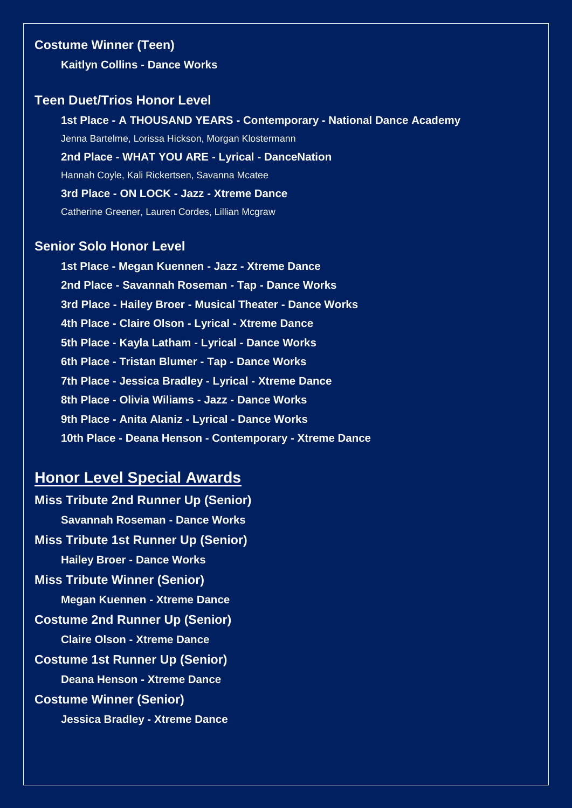# **Costume Winner (Teen)**

**Kaitlyn Collins - Dance Works**

# **Teen Duet/Trios Honor Level**

**1st Place - A THOUSAND YEARS - Contemporary - National Dance Academy** Jenna Bartelme, Lorissa Hickson, Morgan Klostermann **2nd Place - WHAT YOU ARE - Lyrical - DanceNation** Hannah Coyle, Kali Rickertsen, Savanna Mcatee **3rd Place - ON LOCK - Jazz - Xtreme Dance** Catherine Greener, Lauren Cordes, Lillian Mcgraw

### **Senior Solo Honor Level**

**1st Place - Megan Kuennen - Jazz - Xtreme Dance 2nd Place - Savannah Roseman - Tap - Dance Works 3rd Place - Hailey Broer - Musical Theater - Dance Works 4th Place - Claire Olson - Lyrical - Xtreme Dance 5th Place - Kayla Latham - Lyrical - Dance Works 6th Place - Tristan Blumer - Tap - Dance Works 7th Place - Jessica Bradley - Lyrical - Xtreme Dance 8th Place - Olivia Wiliams - Jazz - Dance Works 9th Place - Anita Alaniz - Lyrical - Dance Works 10th Place - Deana Henson - Contemporary - Xtreme Dance**

# **Honor Level Special Awards**

**Miss Tribute 2nd Runner Up (Senior) Savannah Roseman - Dance Works Miss Tribute 1st Runner Up (Senior) Hailey Broer - Dance Works Miss Tribute Winner (Senior) Megan Kuennen - Xtreme Dance Costume 2nd Runner Up (Senior) Claire Olson - Xtreme Dance Costume 1st Runner Up (Senior) Deana Henson - Xtreme Dance Costume Winner (Senior) Jessica Bradley - Xtreme Dance**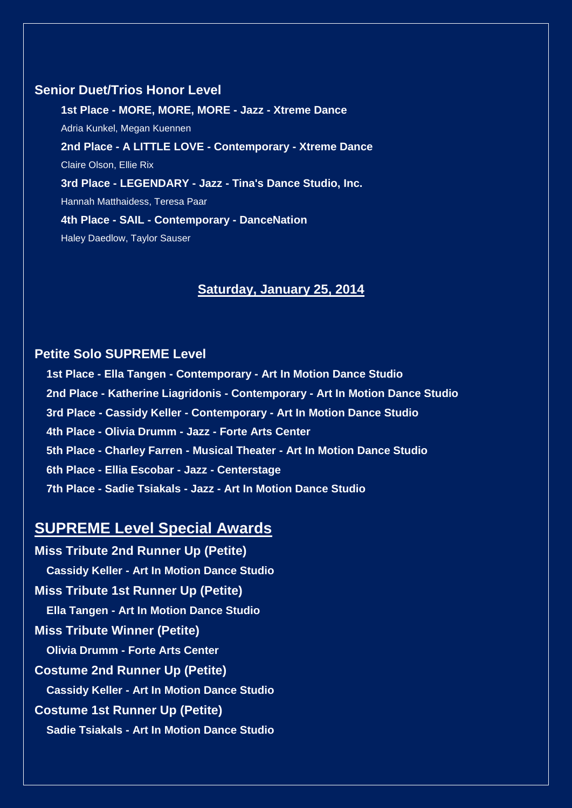# **Senior Duet/Trios Honor Level**

**1st Place - MORE, MORE, MORE - Jazz - Xtreme Dance** Adria Kunkel, Megan Kuennen **2nd Place - A LITTLE LOVE - Contemporary - Xtreme Dance** Claire Olson, Ellie Rix **3rd Place - LEGENDARY - Jazz - Tina's Dance Studio, Inc.** Hannah Matthaidess, Teresa Paar **4th Place - SAIL - Contemporary - DanceNation** Haley Daedlow, Taylor Sauser

# **Saturday, January 25, 2014**

# **Petite Solo SUPREME Level**

**1st Place - Ella Tangen - Contemporary - Art In Motion Dance Studio 2nd Place - Katherine Liagridonis - Contemporary - Art In Motion Dance Studio 3rd Place - Cassidy Keller - Contemporary - Art In Motion Dance Studio 4th Place - Olivia Drumm - Jazz - Forte Arts Center 5th Place - Charley Farren - Musical Theater - Art In Motion Dance Studio 6th Place - Ellia Escobar - Jazz - Centerstage 7th Place - Sadie Tsiakals - Jazz - Art In Motion Dance Studio**

# **SUPREME Level Special Awards**

**Miss Tribute 2nd Runner Up (Petite) Cassidy Keller - Art In Motion Dance Studio Miss Tribute 1st Runner Up (Petite) Ella Tangen - Art In Motion Dance Studio Miss Tribute Winner (Petite) Olivia Drumm - Forte Arts Center Costume 2nd Runner Up (Petite) Cassidy Keller - Art In Motion Dance Studio Costume 1st Runner Up (Petite) Sadie Tsiakals - Art In Motion Dance Studio**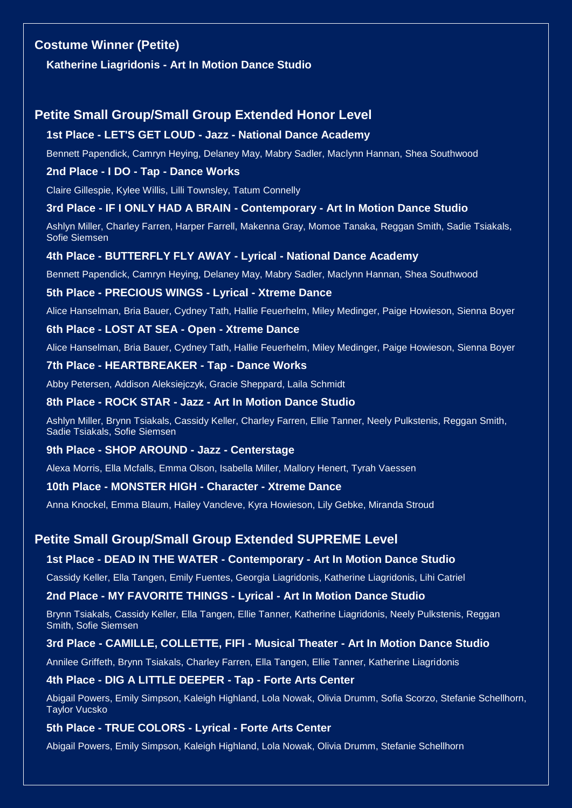# **Costume Winner (Petite)**

**Katherine Liagridonis - Art In Motion Dance Studio**

# **Petite Small Group/Small Group Extended Honor Level**

#### **1st Place - LET'S GET LOUD - Jazz - National Dance Academy**

Bennett Papendick, Camryn Heying, Delaney May, Mabry Sadler, Maclynn Hannan, Shea Southwood

#### **2nd Place - I DO - Tap - Dance Works**

Claire Gillespie, Kylee Willis, Lilli Townsley, Tatum Connelly

#### **3rd Place - IF I ONLY HAD A BRAIN - Contemporary - Art In Motion Dance Studio**

Ashlyn Miller, Charley Farren, Harper Farrell, Makenna Gray, Momoe Tanaka, Reggan Smith, Sadie Tsiakals, Sofie Siemsen

#### **4th Place - BUTTERFLY FLY AWAY - Lyrical - National Dance Academy**

Bennett Papendick, Camryn Heying, Delaney May, Mabry Sadler, Maclynn Hannan, Shea Southwood

#### **5th Place - PRECIOUS WINGS - Lyrical - Xtreme Dance**

Alice Hanselman, Bria Bauer, Cydney Tath, Hallie Feuerhelm, Miley Medinger, Paige Howieson, Sienna Boyer

#### **6th Place - LOST AT SEA - Open - Xtreme Dance**

Alice Hanselman, Bria Bauer, Cydney Tath, Hallie Feuerhelm, Miley Medinger, Paige Howieson, Sienna Boyer

#### **7th Place - HEARTBREAKER - Tap - Dance Works**

Abby Petersen, Addison Aleksiejczyk, Gracie Sheppard, Laila Schmidt

#### **8th Place - ROCK STAR - Jazz - Art In Motion Dance Studio**

Ashlyn Miller, Brynn Tsiakals, Cassidy Keller, Charley Farren, Ellie Tanner, Neely Pulkstenis, Reggan Smith, Sadie Tsiakals, Sofie Siemsen

#### **9th Place - SHOP AROUND - Jazz - Centerstage**

Alexa Morris, Ella Mcfalls, Emma Olson, Isabella Miller, Mallory Henert, Tyrah Vaessen

#### **10th Place - MONSTER HIGH - Character - Xtreme Dance**

Anna Knockel, Emma Blaum, Hailey Vancleve, Kyra Howieson, Lily Gebke, Miranda Stroud

### **Petite Small Group/Small Group Extended SUPREME Level**

#### **1st Place - DEAD IN THE WATER - Contemporary - Art In Motion Dance Studio**

Cassidy Keller, Ella Tangen, Emily Fuentes, Georgia Liagridonis, Katherine Liagridonis, Lihi Catriel

#### **2nd Place - MY FAVORITE THINGS - Lyrical - Art In Motion Dance Studio**

Brynn Tsiakals, Cassidy Keller, Ella Tangen, Ellie Tanner, Katherine Liagridonis, Neely Pulkstenis, Reggan Smith, Sofie Siemsen

#### **3rd Place - CAMILLE, COLLETTE, FIFI - Musical Theater - Art In Motion Dance Studio**

Annilee Griffeth, Brynn Tsiakals, Charley Farren, Ella Tangen, Ellie Tanner, Katherine Liagridonis

#### **4th Place - DIG A LITTLE DEEPER - Tap - Forte Arts Center**

Abigail Powers, Emily Simpson, Kaleigh Highland, Lola Nowak, Olivia Drumm, Sofia Scorzo, Stefanie Schellhorn, Taylor Vucsko

#### **5th Place - TRUE COLORS - Lyrical - Forte Arts Center**

Abigail Powers, Emily Simpson, Kaleigh Highland, Lola Nowak, Olivia Drumm, Stefanie Schellhorn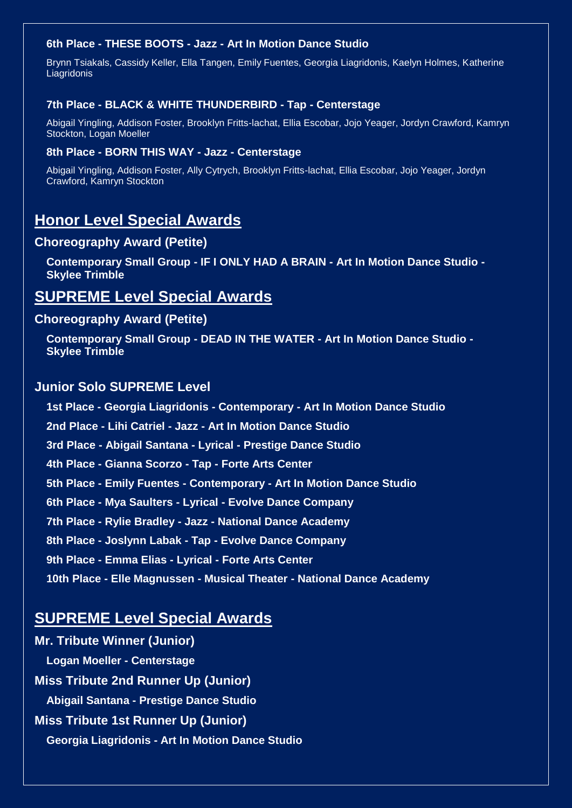### **6th Place - THESE BOOTS - Jazz - Art In Motion Dance Studio**

Brynn Tsiakals, Cassidy Keller, Ella Tangen, Emily Fuentes, Georgia Liagridonis, Kaelyn Holmes, Katherine Liagridonis

#### **7th Place - BLACK & WHITE THUNDERBIRD - Tap - Centerstage**

Abigail Yingling, Addison Foster, Brooklyn Fritts-lachat, Ellia Escobar, Jojo Yeager, Jordyn Crawford, Kamryn Stockton, Logan Moeller

#### **8th Place - BORN THIS WAY - Jazz - Centerstage**

Abigail Yingling, Addison Foster, Ally Cytrych, Brooklyn Fritts-lachat, Ellia Escobar, Jojo Yeager, Jordyn Crawford, Kamryn Stockton

# **Honor Level Special Awards**

### **Choreography Award (Petite)**

**Contemporary Small Group - IF I ONLY HAD A BRAIN - Art In Motion Dance Studio - Skylee Trimble**

# **SUPREME Level Special Awards**

#### **Choreography Award (Petite)**

**Contemporary Small Group - DEAD IN THE WATER - Art In Motion Dance Studio - Skylee Trimble**

# **Junior Solo SUPREME Level**

**1st Place - Georgia Liagridonis - Contemporary - Art In Motion Dance Studio 2nd Place - Lihi Catriel - Jazz - Art In Motion Dance Studio 3rd Place - Abigail Santana - Lyrical - Prestige Dance Studio 4th Place - Gianna Scorzo - Tap - Forte Arts Center 5th Place - Emily Fuentes - Contemporary - Art In Motion Dance Studio 6th Place - Mya Saulters - Lyrical - Evolve Dance Company 7th Place - Rylie Bradley - Jazz - National Dance Academy 8th Place - Joslynn Labak - Tap - Evolve Dance Company 9th Place - Emma Elias - Lyrical - Forte Arts Center 10th Place - Elle Magnussen - Musical Theater - National Dance Academy**

# **SUPREME Level Special Awards**

**Mr. Tribute Winner (Junior) Logan Moeller - Centerstage Miss Tribute 2nd Runner Up (Junior) Abigail Santana - Prestige Dance Studio Miss Tribute 1st Runner Up (Junior) Georgia Liagridonis - Art In Motion Dance Studio**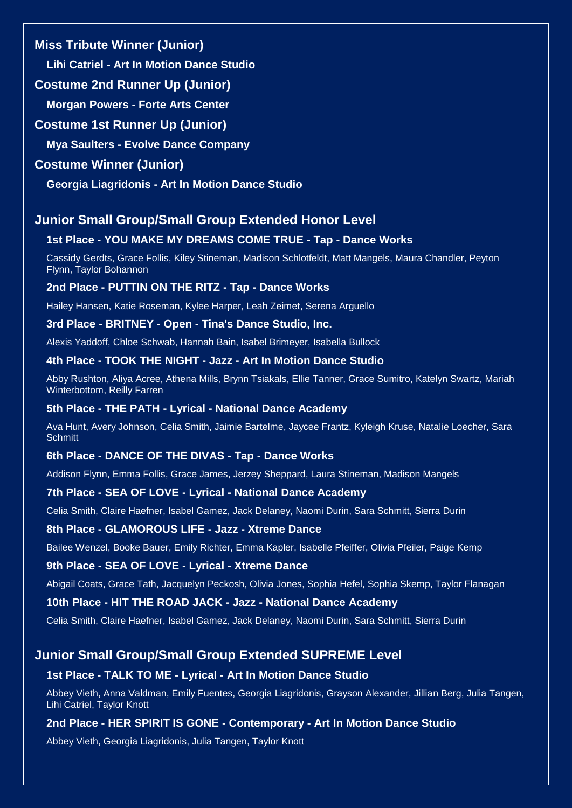# **Miss Tribute Winner (Junior)**

**Lihi Catriel - Art In Motion Dance Studio**

# **Costume 2nd Runner Up (Junior)**

**Morgan Powers - Forte Arts Center**

# **Costume 1st Runner Up (Junior)**

**Mya Saulters - Evolve Dance Company**

# **Costume Winner (Junior)**

**Georgia Liagridonis - Art In Motion Dance Studio**

# **Junior Small Group/Small Group Extended Honor Level**

# **1st Place - YOU MAKE MY DREAMS COME TRUE - Tap - Dance Works**

Cassidy Gerdts, Grace Follis, Kiley Stineman, Madison Schlotfeldt, Matt Mangels, Maura Chandler, Peyton Flynn, Taylor Bohannon

# **2nd Place - PUTTIN ON THE RITZ - Tap - Dance Works**

Hailey Hansen, Katie Roseman, Kylee Harper, Leah Zeimet, Serena Arguello

# **3rd Place - BRITNEY - Open - Tina's Dance Studio, Inc.**

Alexis Yaddoff, Chloe Schwab, Hannah Bain, Isabel Brimeyer, Isabella Bullock

# **4th Place - TOOK THE NIGHT - Jazz - Art In Motion Dance Studio**

Abby Rushton, Aliya Acree, Athena Mills, Brynn Tsiakals, Ellie Tanner, Grace Sumitro, Katelyn Swartz, Mariah Winterbottom, Reilly Farren

# **5th Place - THE PATH - Lyrical - National Dance Academy**

Ava Hunt, Avery Johnson, Celia Smith, Jaimie Bartelme, Jaycee Frantz, Kyleigh Kruse, Natalie Loecher, Sara **Schmitt** 

# **6th Place - DANCE OF THE DIVAS - Tap - Dance Works**

Addison Flynn, Emma Follis, Grace James, Jerzey Sheppard, Laura Stineman, Madison Mangels

# **7th Place - SEA OF LOVE - Lyrical - National Dance Academy**

Celia Smith, Claire Haefner, Isabel Gamez, Jack Delaney, Naomi Durin, Sara Schmitt, Sierra Durin

### **8th Place - GLAMOROUS LIFE - Jazz - Xtreme Dance**

Bailee Wenzel, Booke Bauer, Emily Richter, Emma Kapler, Isabelle Pfeiffer, Olivia Pfeiler, Paige Kemp

# **9th Place - SEA OF LOVE - Lyrical - Xtreme Dance**

Abigail Coats, Grace Tath, Jacquelyn Peckosh, Olivia Jones, Sophia Hefel, Sophia Skemp, Taylor Flanagan

**10th Place - HIT THE ROAD JACK - Jazz - National Dance Academy**

Celia Smith, Claire Haefner, Isabel Gamez, Jack Delaney, Naomi Durin, Sara Schmitt, Sierra Durin

# **Junior Small Group/Small Group Extended SUPREME Level**

# **1st Place - TALK TO ME - Lyrical - Art In Motion Dance Studio**

Abbey Vieth, Anna Valdman, Emily Fuentes, Georgia Liagridonis, Grayson Alexander, Jillian Berg, Julia Tangen, Lihi Catriel, Taylor Knott

# **2nd Place - HER SPIRIT IS GONE - Contemporary - Art In Motion Dance Studio**

Abbey Vieth, Georgia Liagridonis, Julia Tangen, Taylor Knott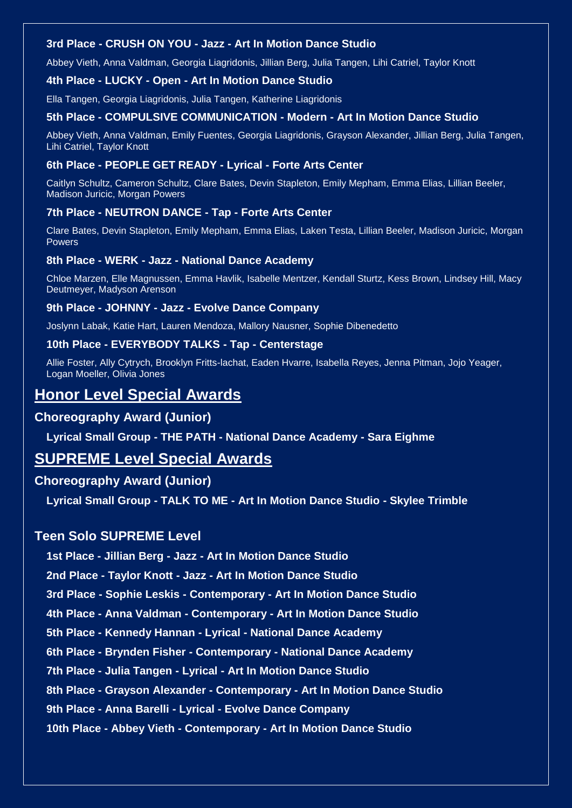### **3rd Place - CRUSH ON YOU - Jazz - Art In Motion Dance Studio**

Abbey Vieth, Anna Valdman, Georgia Liagridonis, Jillian Berg, Julia Tangen, Lihi Catriel, Taylor Knott

#### **4th Place - LUCKY - Open - Art In Motion Dance Studio**

Ella Tangen, Georgia Liagridonis, Julia Tangen, Katherine Liagridonis

#### **5th Place - COMPULSIVE COMMUNICATION - Modern - Art In Motion Dance Studio**

Abbey Vieth, Anna Valdman, Emily Fuentes, Georgia Liagridonis, Grayson Alexander, Jillian Berg, Julia Tangen, Lihi Catriel, Taylor Knott

#### **6th Place - PEOPLE GET READY - Lyrical - Forte Arts Center**

Caitlyn Schultz, Cameron Schultz, Clare Bates, Devin Stapleton, Emily Mepham, Emma Elias, Lillian Beeler, Madison Juricic, Morgan Powers

#### **7th Place - NEUTRON DANCE - Tap - Forte Arts Center**

Clare Bates, Devin Stapleton, Emily Mepham, Emma Elias, Laken Testa, Lillian Beeler, Madison Juricic, Morgan Powers

#### **8th Place - WERK - Jazz - National Dance Academy**

Chloe Marzen, Elle Magnussen, Emma Havlik, Isabelle Mentzer, Kendall Sturtz, Kess Brown, Lindsey Hill, Macy Deutmeyer, Madyson Arenson

#### **9th Place - JOHNNY - Jazz - Evolve Dance Company**

Joslynn Labak, Katie Hart, Lauren Mendoza, Mallory Nausner, Sophie Dibenedetto

#### **10th Place - EVERYBODY TALKS - Tap - Centerstage**

Allie Foster, Ally Cytrych, Brooklyn Fritts-lachat, Eaden Hvarre, Isabella Reyes, Jenna Pitman, Jojo Yeager, Logan Moeller, Olivia Jones

# **Honor Level Special Awards**

# **Choreography Award (Junior)**

**Lyrical Small Group - THE PATH - National Dance Academy - Sara Eighme**

# **SUPREME Level Special Awards**

### **Choreography Award (Junior)**

**Lyrical Small Group - TALK TO ME - Art In Motion Dance Studio - Skylee Trimble**

# **Teen Solo SUPREME Level**

**1st Place - Jillian Berg - Jazz - Art In Motion Dance Studio**

**2nd Place - Taylor Knott - Jazz - Art In Motion Dance Studio**

**3rd Place - Sophie Leskis - Contemporary - Art In Motion Dance Studio**

**4th Place - Anna Valdman - Contemporary - Art In Motion Dance Studio**

**5th Place - Kennedy Hannan - Lyrical - National Dance Academy**

**6th Place - Brynden Fisher - Contemporary - National Dance Academy**

**7th Place - Julia Tangen - Lyrical - Art In Motion Dance Studio**

**8th Place - Grayson Alexander - Contemporary - Art In Motion Dance Studio**

**9th Place - Anna Barelli - Lyrical - Evolve Dance Company**

**10th Place - Abbey Vieth - Contemporary - Art In Motion Dance Studio**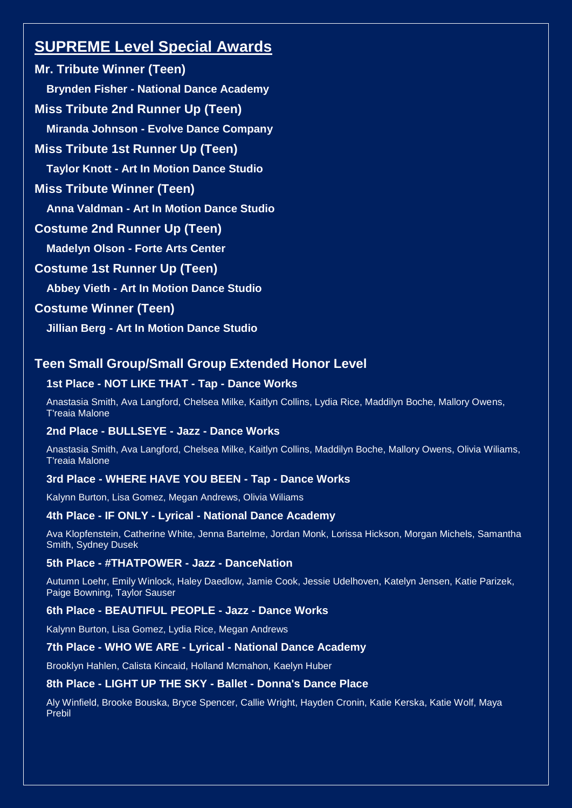# **SUPREME Level Special Awards**

**Mr. Tribute Winner (Teen) Brynden Fisher - National Dance Academy Miss Tribute 2nd Runner Up (Teen) Miranda Johnson - Evolve Dance Company Miss Tribute 1st Runner Up (Teen) Taylor Knott - Art In Motion Dance Studio Miss Tribute Winner (Teen) Anna Valdman - Art In Motion Dance Studio Costume 2nd Runner Up (Teen) Madelyn Olson - Forte Arts Center Costume 1st Runner Up (Teen) Abbey Vieth - Art In Motion Dance Studio Costume Winner (Teen) Jillian Berg - Art In Motion Dance Studio**

# **Teen Small Group/Small Group Extended Honor Level**

# **1st Place - NOT LIKE THAT - Tap - Dance Works**

Anastasia Smith, Ava Langford, Chelsea Milke, Kaitlyn Collins, Lydia Rice, Maddilyn Boche, Mallory Owens, T'reaia Malone

### **2nd Place - BULLSEYE - Jazz - Dance Works**

Anastasia Smith, Ava Langford, Chelsea Milke, Kaitlyn Collins, Maddilyn Boche, Mallory Owens, Olivia Wiliams, T'reaia Malone

### **3rd Place - WHERE HAVE YOU BEEN - Tap - Dance Works**

Kalynn Burton, Lisa Gomez, Megan Andrews, Olivia Wiliams

### **4th Place - IF ONLY - Lyrical - National Dance Academy**

Ava Klopfenstein, Catherine White, Jenna Bartelme, Jordan Monk, Lorissa Hickson, Morgan Michels, Samantha Smith, Sydney Dusek

### **5th Place - #THATPOWER - Jazz - DanceNation**

Autumn Loehr, Emily Winlock, Haley Daedlow, Jamie Cook, Jessie Udelhoven, Katelyn Jensen, Katie Parizek, Paige Bowning, Taylor Sauser

### **6th Place - BEAUTIFUL PEOPLE - Jazz - Dance Works**

Kalynn Burton, Lisa Gomez, Lydia Rice, Megan Andrews

### **7th Place - WHO WE ARE - Lyrical - National Dance Academy**

Brooklyn Hahlen, Calista Kincaid, Holland Mcmahon, Kaelyn Huber

### **8th Place - LIGHT UP THE SKY - Ballet - Donna's Dance Place**

Aly Winfield, Brooke Bouska, Bryce Spencer, Callie Wright, Hayden Cronin, Katie Kerska, Katie Wolf, Maya Prebil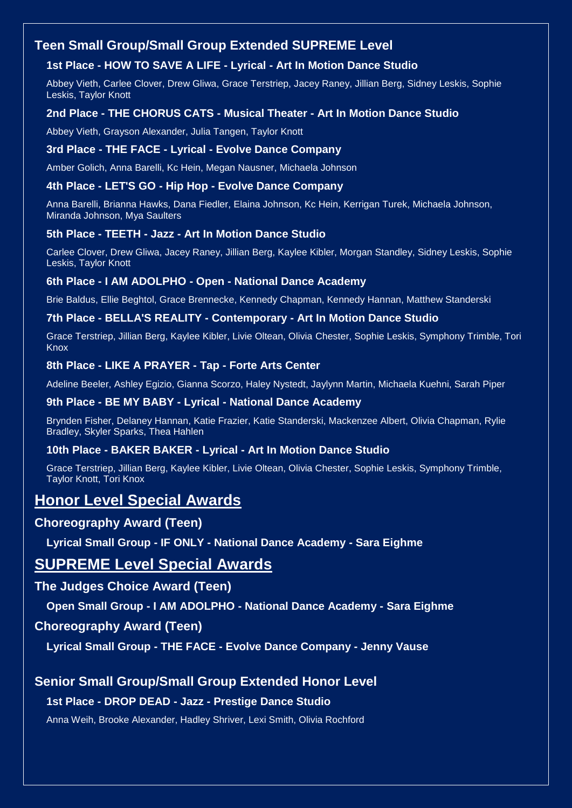# **Teen Small Group/Small Group Extended SUPREME Level**

# **1st Place - HOW TO SAVE A LIFE - Lyrical - Art In Motion Dance Studio**

Abbey Vieth, Carlee Clover, Drew Gliwa, Grace Terstriep, Jacey Raney, Jillian Berg, Sidney Leskis, Sophie Leskis, Taylor Knott

# **2nd Place - THE CHORUS CATS - Musical Theater - Art In Motion Dance Studio**

Abbey Vieth, Grayson Alexander, Julia Tangen, Taylor Knott

### **3rd Place - THE FACE - Lyrical - Evolve Dance Company**

Amber Golich, Anna Barelli, Kc Hein, Megan Nausner, Michaela Johnson

### **4th Place - LET'S GO - Hip Hop - Evolve Dance Company**

Anna Barelli, Brianna Hawks, Dana Fiedler, Elaina Johnson, Kc Hein, Kerrigan Turek, Michaela Johnson, Miranda Johnson, Mya Saulters

# **5th Place - TEETH - Jazz - Art In Motion Dance Studio**

Carlee Clover, Drew Gliwa, Jacey Raney, Jillian Berg, Kaylee Kibler, Morgan Standley, Sidney Leskis, Sophie Leskis, Taylor Knott

### **6th Place - I AM ADOLPHO - Open - National Dance Academy**

Brie Baldus, Ellie Beghtol, Grace Brennecke, Kennedy Chapman, Kennedy Hannan, Matthew Standerski

#### **7th Place - BELLA'S REALITY - Contemporary - Art In Motion Dance Studio**

Grace Terstriep, Jillian Berg, Kaylee Kibler, Livie Oltean, Olivia Chester, Sophie Leskis, Symphony Trimble, Tori Knox

#### **8th Place - LIKE A PRAYER - Tap - Forte Arts Center**

Adeline Beeler, Ashley Egizio, Gianna Scorzo, Haley Nystedt, Jaylynn Martin, Michaela Kuehni, Sarah Piper

#### **9th Place - BE MY BABY - Lyrical - National Dance Academy**

Brynden Fisher, Delaney Hannan, Katie Frazier, Katie Standerski, Mackenzee Albert, Olivia Chapman, Rylie Bradley, Skyler Sparks, Thea Hahlen

### **10th Place - BAKER BAKER - Lyrical - Art In Motion Dance Studio**

Grace Terstriep, Jillian Berg, Kaylee Kibler, Livie Oltean, Olivia Chester, Sophie Leskis, Symphony Trimble, Taylor Knott, Tori Knox

# **Honor Level Special Awards**

# **Choreography Award (Teen)**

**Lyrical Small Group - IF ONLY - National Dance Academy - Sara Eighme**

# **SUPREME Level Special Awards**

# **The Judges Choice Award (Teen)**

**Open Small Group - I AM ADOLPHO - National Dance Academy - Sara Eighme**

# **Choreography Award (Teen)**

**Lyrical Small Group - THE FACE - Evolve Dance Company - Jenny Vause**

# **Senior Small Group/Small Group Extended Honor Level**

### **1st Place - DROP DEAD - Jazz - Prestige Dance Studio**

Anna Weih, Brooke Alexander, Hadley Shriver, Lexi Smith, Olivia Rochford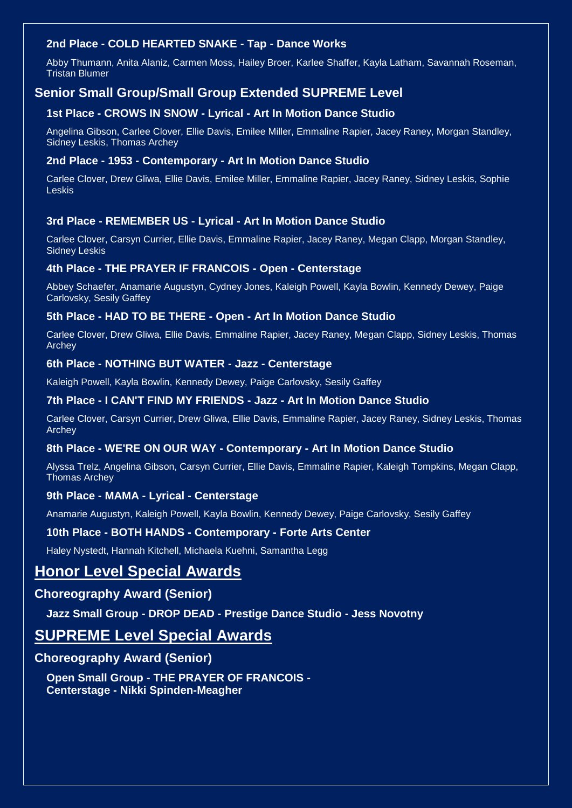# **2nd Place - COLD HEARTED SNAKE - Tap - Dance Works**

Abby Thumann, Anita Alaniz, Carmen Moss, Hailey Broer, Karlee Shaffer, Kayla Latham, Savannah Roseman, Tristan Blumer

# **Senior Small Group/Small Group Extended SUPREME Level**

### **1st Place - CROWS IN SNOW - Lyrical - Art In Motion Dance Studio**

Angelina Gibson, Carlee Clover, Ellie Davis, Emilee Miller, Emmaline Rapier, Jacey Raney, Morgan Standley, Sidney Leskis, Thomas Archey

#### **2nd Place - 1953 - Contemporary - Art In Motion Dance Studio**

Carlee Clover, Drew Gliwa, Ellie Davis, Emilee Miller, Emmaline Rapier, Jacey Raney, Sidney Leskis, Sophie Leskis

#### **3rd Place - REMEMBER US - Lyrical - Art In Motion Dance Studio**

Carlee Clover, Carsyn Currier, Ellie Davis, Emmaline Rapier, Jacey Raney, Megan Clapp, Morgan Standley, Sidney Leskis

#### **4th Place - THE PRAYER IF FRANCOIS - Open - Centerstage**

Abbey Schaefer, Anamarie Augustyn, Cydney Jones, Kaleigh Powell, Kayla Bowlin, Kennedy Dewey, Paige Carlovsky, Sesily Gaffey

#### **5th Place - HAD TO BE THERE - Open - Art In Motion Dance Studio**

Carlee Clover, Drew Gliwa, Ellie Davis, Emmaline Rapier, Jacey Raney, Megan Clapp, Sidney Leskis, Thomas Archey

#### **6th Place - NOTHING BUT WATER - Jazz - Centerstage**

Kaleigh Powell, Kayla Bowlin, Kennedy Dewey, Paige Carlovsky, Sesily Gaffey

#### **7th Place - I CAN'T FIND MY FRIENDS - Jazz - Art In Motion Dance Studio**

Carlee Clover, Carsyn Currier, Drew Gliwa, Ellie Davis, Emmaline Rapier, Jacey Raney, Sidney Leskis, Thomas Archey

#### **8th Place - WE'RE ON OUR WAY - Contemporary - Art In Motion Dance Studio**

Alyssa Trelz, Angelina Gibson, Carsyn Currier, Ellie Davis, Emmaline Rapier, Kaleigh Tompkins, Megan Clapp, Thomas Archey

#### **9th Place - MAMA - Lyrical - Centerstage**

Anamarie Augustyn, Kaleigh Powell, Kayla Bowlin, Kennedy Dewey, Paige Carlovsky, Sesily Gaffey

#### **10th Place - BOTH HANDS - Contemporary - Forte Arts Center**

Haley Nystedt, Hannah Kitchell, Michaela Kuehni, Samantha Legg

# **Honor Level Special Awards**

## **Choreography Award (Senior)**

**Jazz Small Group - DROP DEAD - Prestige Dance Studio - Jess Novotny**

# **SUPREME Level Special Awards**

### **Choreography Award (Senior)**

**Open Small Group - THE PRAYER OF FRANCOIS - Centerstage - Nikki Spinden-Meagher**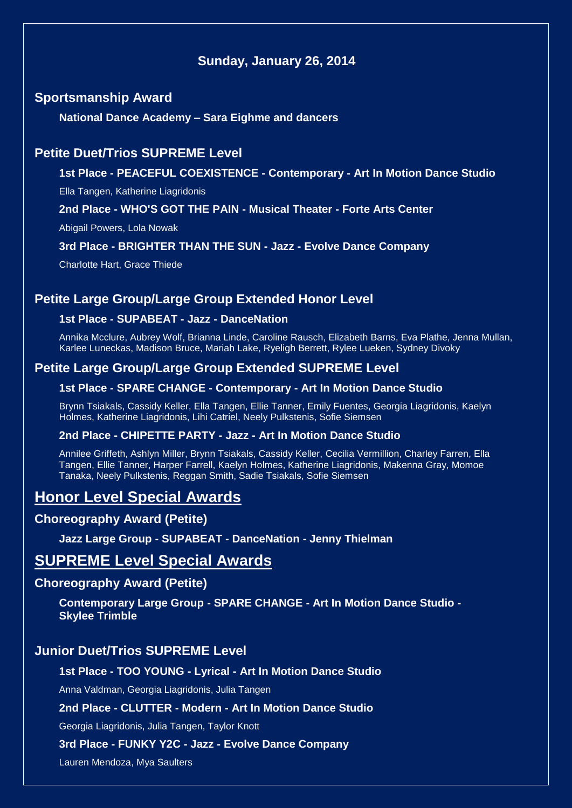# **Sunday, January 26, 2014**

# **Sportsmanship Award**

**National Dance Academy – Sara Eighme and dancers**

# **Petite Duet/Trios SUPREME Level**

**1st Place - PEACEFUL COEXISTENCE - Contemporary - Art In Motion Dance Studio**

Ella Tangen, Katherine Liagridonis

**2nd Place - WHO'S GOT THE PAIN - Musical Theater - Forte Arts Center**

Abigail Powers, Lola Nowak

#### **3rd Place - BRIGHTER THAN THE SUN - Jazz - Evolve Dance Company**

Charlotte Hart, Grace Thiede

# **Petite Large Group/Large Group Extended Honor Level**

# **1st Place - SUPABEAT - Jazz - DanceNation**

Annika Mcclure, Aubrey Wolf, Brianna Linde, Caroline Rausch, Elizabeth Barns, Eva Plathe, Jenna Mullan, Karlee Luneckas, Madison Bruce, Mariah Lake, Ryeligh Berrett, Rylee Lueken, Sydney Divoky

# **Petite Large Group/Large Group Extended SUPREME Level**

#### **1st Place - SPARE CHANGE - Contemporary - Art In Motion Dance Studio**

Brynn Tsiakals, Cassidy Keller, Ella Tangen, Ellie Tanner, Emily Fuentes, Georgia Liagridonis, Kaelyn Holmes, Katherine Liagridonis, Lihi Catriel, Neely Pulkstenis, Sofie Siemsen

### **2nd Place - CHIPETTE PARTY - Jazz - Art In Motion Dance Studio**

Annilee Griffeth, Ashlyn Miller, Brynn Tsiakals, Cassidy Keller, Cecilia Vermillion, Charley Farren, Ella Tangen, Ellie Tanner, Harper Farrell, Kaelyn Holmes, Katherine Liagridonis, Makenna Gray, Momoe Tanaka, Neely Pulkstenis, Reggan Smith, Sadie Tsiakals, Sofie Siemsen

# **Honor Level Special Awards**

# **Choreography Award (Petite)**

**Jazz Large Group - SUPABEAT - DanceNation - Jenny Thielman**

# **SUPREME Level Special Awards**

### **Choreography Award (Petite)**

**Contemporary Large Group - SPARE CHANGE - Art In Motion Dance Studio - Skylee Trimble**

# **Junior Duet/Trios SUPREME Level**

#### **1st Place - TOO YOUNG - Lyrical - Art In Motion Dance Studio**

Anna Valdman, Georgia Liagridonis, Julia Tangen

### **2nd Place - CLUTTER - Modern - Art In Motion Dance Studio**

Georgia Liagridonis, Julia Tangen, Taylor Knott

#### **3rd Place - FUNKY Y2C - Jazz - Evolve Dance Company**

Lauren Mendoza, Mya Saulters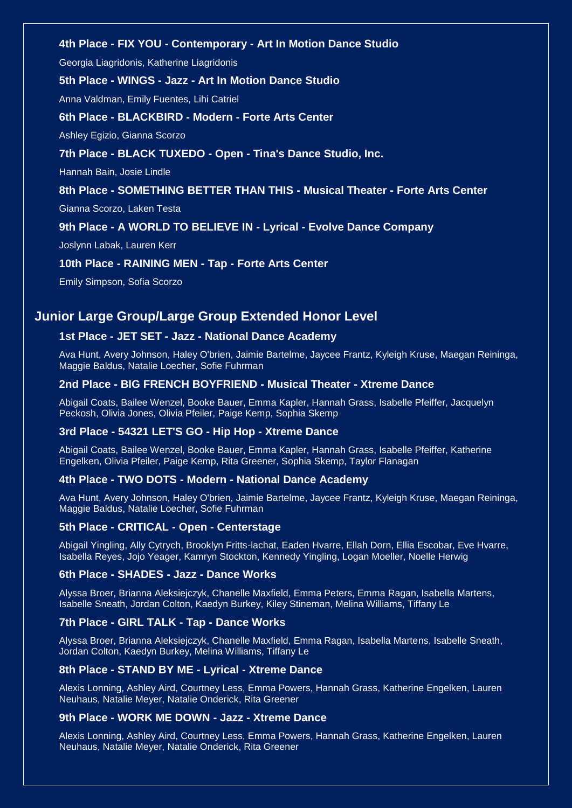#### **4th Place - FIX YOU - Contemporary - Art In Motion Dance Studio**

Georgia Liagridonis, Katherine Liagridonis

#### **5th Place - WINGS - Jazz - Art In Motion Dance Studio**

Anna Valdman, Emily Fuentes, Lihi Catriel

#### **6th Place - BLACKBIRD - Modern - Forte Arts Center**

Ashley Egizio, Gianna Scorzo

#### **7th Place - BLACK TUXEDO - Open - Tina's Dance Studio, Inc.**

Hannah Bain, Josie Lindle

#### **8th Place - SOMETHING BETTER THAN THIS - Musical Theater - Forte Arts Center**

Gianna Scorzo, Laken Testa

#### **9th Place - A WORLD TO BELIEVE IN - Lyrical - Evolve Dance Company**

Joslynn Labak, Lauren Kerr

#### **10th Place - RAINING MEN - Tap - Forte Arts Center**

Emily Simpson, Sofia Scorzo

# **Junior Large Group/Large Group Extended Honor Level**

#### **1st Place - JET SET - Jazz - National Dance Academy**

Ava Hunt, Avery Johnson, Haley O'brien, Jaimie Bartelme, Jaycee Frantz, Kyleigh Kruse, Maegan Reininga, Maggie Baldus, Natalie Loecher, Sofie Fuhrman

#### **2nd Place - BIG FRENCH BOYFRIEND - Musical Theater - Xtreme Dance**

Abigail Coats, Bailee Wenzel, Booke Bauer, Emma Kapler, Hannah Grass, Isabelle Pfeiffer, Jacquelyn Peckosh, Olivia Jones, Olivia Pfeiler, Paige Kemp, Sophia Skemp

#### **3rd Place - 54321 LET'S GO - Hip Hop - Xtreme Dance**

Abigail Coats, Bailee Wenzel, Booke Bauer, Emma Kapler, Hannah Grass, Isabelle Pfeiffer, Katherine Engelken, Olivia Pfeiler, Paige Kemp, Rita Greener, Sophia Skemp, Taylor Flanagan

#### **4th Place - TWO DOTS - Modern - National Dance Academy**

Ava Hunt, Avery Johnson, Haley O'brien, Jaimie Bartelme, Jaycee Frantz, Kyleigh Kruse, Maegan Reininga, Maggie Baldus, Natalie Loecher, Sofie Fuhrman

#### **5th Place - CRITICAL - Open - Centerstage**

Abigail Yingling, Ally Cytrych, Brooklyn Fritts-lachat, Eaden Hvarre, Ellah Dorn, Ellia Escobar, Eve Hvarre, Isabella Reyes, Jojo Yeager, Kamryn Stockton, Kennedy Yingling, Logan Moeller, Noelle Herwig

#### **6th Place - SHADES - Jazz - Dance Works**

Alyssa Broer, Brianna Aleksiejczyk, Chanelle Maxfield, Emma Peters, Emma Ragan, Isabella Martens, Isabelle Sneath, Jordan Colton, Kaedyn Burkey, Kiley Stineman, Melina Williams, Tiffany Le

#### **7th Place - GIRL TALK - Tap - Dance Works**

Alyssa Broer, Brianna Aleksiejczyk, Chanelle Maxfield, Emma Ragan, Isabella Martens, Isabelle Sneath, Jordan Colton, Kaedyn Burkey, Melina Williams, Tiffany Le

#### **8th Place - STAND BY ME - Lyrical - Xtreme Dance**

Alexis Lonning, Ashley Aird, Courtney Less, Emma Powers, Hannah Grass, Katherine Engelken, Lauren Neuhaus, Natalie Meyer, Natalie Onderick, Rita Greener

#### **9th Place - WORK ME DOWN - Jazz - Xtreme Dance**

Alexis Lonning, Ashley Aird, Courtney Less, Emma Powers, Hannah Grass, Katherine Engelken, Lauren Neuhaus, Natalie Meyer, Natalie Onderick, Rita Greener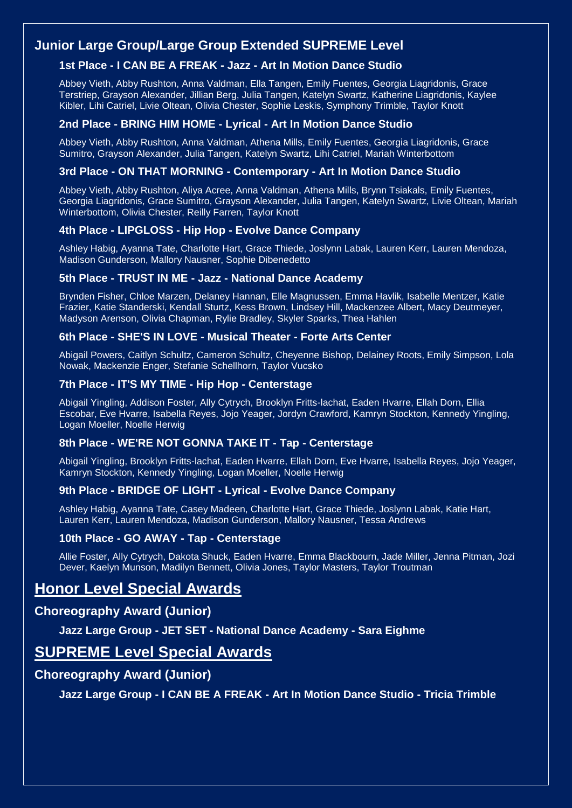# **Junior Large Group/Large Group Extended SUPREME Level**

# **1st Place - I CAN BE A FREAK - Jazz - Art In Motion Dance Studio**

Abbey Vieth, Abby Rushton, Anna Valdman, Ella Tangen, Emily Fuentes, Georgia Liagridonis, Grace Terstriep, Grayson Alexander, Jillian Berg, Julia Tangen, Katelyn Swartz, Katherine Liagridonis, Kaylee Kibler, Lihi Catriel, Livie Oltean, Olivia Chester, Sophie Leskis, Symphony Trimble, Taylor Knott

### **2nd Place - BRING HIM HOME - Lyrical - Art In Motion Dance Studio**

Abbey Vieth, Abby Rushton, Anna Valdman, Athena Mills, Emily Fuentes, Georgia Liagridonis, Grace Sumitro, Grayson Alexander, Julia Tangen, Katelyn Swartz, Lihi Catriel, Mariah Winterbottom

### **3rd Place - ON THAT MORNING - Contemporary - Art In Motion Dance Studio**

Abbey Vieth, Abby Rushton, Aliya Acree, Anna Valdman, Athena Mills, Brynn Tsiakals, Emily Fuentes, Georgia Liagridonis, Grace Sumitro, Grayson Alexander, Julia Tangen, Katelyn Swartz, Livie Oltean, Mariah Winterbottom, Olivia Chester, Reilly Farren, Taylor Knott

# **4th Place - LIPGLOSS - Hip Hop - Evolve Dance Company**

Ashley Habig, Ayanna Tate, Charlotte Hart, Grace Thiede, Joslynn Labak, Lauren Kerr, Lauren Mendoza, Madison Gunderson, Mallory Nausner, Sophie Dibenedetto

### **5th Place - TRUST IN ME - Jazz - National Dance Academy**

Brynden Fisher, Chloe Marzen, Delaney Hannan, Elle Magnussen, Emma Havlik, Isabelle Mentzer, Katie Frazier, Katie Standerski, Kendall Sturtz, Kess Brown, Lindsey Hill, Mackenzee Albert, Macy Deutmeyer, Madyson Arenson, Olivia Chapman, Rylie Bradley, Skyler Sparks, Thea Hahlen

#### **6th Place - SHE'S IN LOVE - Musical Theater - Forte Arts Center**

Abigail Powers, Caitlyn Schultz, Cameron Schultz, Cheyenne Bishop, Delainey Roots, Emily Simpson, Lola Nowak, Mackenzie Enger, Stefanie Schellhorn, Taylor Vucsko

#### **7th Place - IT'S MY TIME - Hip Hop - Centerstage**

Abigail Yingling, Addison Foster, Ally Cytrych, Brooklyn Fritts-lachat, Eaden Hvarre, Ellah Dorn, Ellia Escobar, Eve Hvarre, Isabella Reyes, Jojo Yeager, Jordyn Crawford, Kamryn Stockton, Kennedy Yingling, Logan Moeller, Noelle Herwig

### **8th Place - WE'RE NOT GONNA TAKE IT - Tap - Centerstage**

Abigail Yingling, Brooklyn Fritts-lachat, Eaden Hvarre, Ellah Dorn, Eve Hvarre, Isabella Reyes, Jojo Yeager, Kamryn Stockton, Kennedy Yingling, Logan Moeller, Noelle Herwig

### **9th Place - BRIDGE OF LIGHT - Lyrical - Evolve Dance Company**

Ashley Habig, Ayanna Tate, Casey Madeen, Charlotte Hart, Grace Thiede, Joslynn Labak, Katie Hart, Lauren Kerr, Lauren Mendoza, Madison Gunderson, Mallory Nausner, Tessa Andrews

### **10th Place - GO AWAY - Tap - Centerstage**

Allie Foster, Ally Cytrych, Dakota Shuck, Eaden Hvarre, Emma Blackbourn, Jade Miller, Jenna Pitman, Jozi Dever, Kaelyn Munson, Madilyn Bennett, Olivia Jones, Taylor Masters, Taylor Troutman

# **Honor Level Special Awards**

# **Choreography Award (Junior)**

**Jazz Large Group - JET SET - National Dance Academy - Sara Eighme**

# **SUPREME Level Special Awards**

# **Choreography Award (Junior)**

**Jazz Large Group - I CAN BE A FREAK - Art In Motion Dance Studio - Tricia Trimble**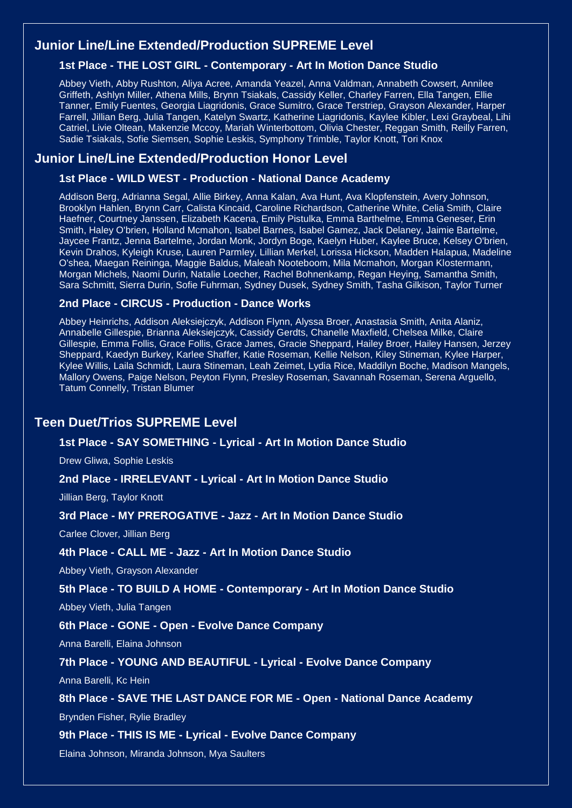# **Junior Line/Line Extended/Production SUPREME Level**

# **1st Place - THE LOST GIRL - Contemporary - Art In Motion Dance Studio**

Abbey Vieth, Abby Rushton, Aliya Acree, Amanda Yeazel, Anna Valdman, Annabeth Cowsert, Annilee Griffeth, Ashlyn Miller, Athena Mills, Brynn Tsiakals, Cassidy Keller, Charley Farren, Ella Tangen, Ellie Tanner, Emily Fuentes, Georgia Liagridonis, Grace Sumitro, Grace Terstriep, Grayson Alexander, Harper Farrell, Jillian Berg, Julia Tangen, Katelyn Swartz, Katherine Liagridonis, Kaylee Kibler, Lexi Graybeal, Lihi Catriel, Livie Oltean, Makenzie Mccoy, Mariah Winterbottom, Olivia Chester, Reggan Smith, Reilly Farren, Sadie Tsiakals, Sofie Siemsen, Sophie Leskis, Symphony Trimble, Taylor Knott, Tori Knox

# **Junior Line/Line Extended/Production Honor Level**

#### **1st Place - WILD WEST - Production - National Dance Academy**

Addison Berg, Adrianna Segal, Allie Birkey, Anna Kalan, Ava Hunt, Ava Klopfenstein, Avery Johnson, Brooklyn Hahlen, Brynn Carr, Calista Kincaid, Caroline Richardson, Catherine White, Celia Smith, Claire Haefner, Courtney Janssen, Elizabeth Kacena, Emily Pistulka, Emma Barthelme, Emma Geneser, Erin Smith, Haley O'brien, Holland Mcmahon, Isabel Barnes, Isabel Gamez, Jack Delaney, Jaimie Bartelme, Jaycee Frantz, Jenna Bartelme, Jordan Monk, Jordyn Boge, Kaelyn Huber, Kaylee Bruce, Kelsey O'brien, Kevin Drahos, Kyleigh Kruse, Lauren Parmley, Lillian Merkel, Lorissa Hickson, Madden Halapua, Madeline O'shea, Maegan Reininga, Maggie Baldus, Maleah Nooteboom, Mila Mcmahon, Morgan Klostermann, Morgan Michels, Naomi Durin, Natalie Loecher, Rachel Bohnenkamp, Regan Heying, Samantha Smith, Sara Schmitt, Sierra Durin, Sofie Fuhrman, Sydney Dusek, Sydney Smith, Tasha Gilkison, Taylor Turner

# **2nd Place - CIRCUS - Production - Dance Works**

Abbey Heinrichs, Addison Aleksiejczyk, Addison Flynn, Alyssa Broer, Anastasia Smith, Anita Alaniz, Annabelle Gillespie, Brianna Aleksiejczyk, Cassidy Gerdts, Chanelle Maxfield, Chelsea Milke, Claire Gillespie, Emma Follis, Grace Follis, Grace James, Gracie Sheppard, Hailey Broer, Hailey Hansen, Jerzey Sheppard, Kaedyn Burkey, Karlee Shaffer, Katie Roseman, Kellie Nelson, Kiley Stineman, Kylee Harper, Kylee Willis, Laila Schmidt, Laura Stineman, Leah Zeimet, Lydia Rice, Maddilyn Boche, Madison Mangels, Mallory Owens, Paige Nelson, Peyton Flynn, Presley Roseman, Savannah Roseman, Serena Arguello, Tatum Connelly, Tristan Blumer

# **Teen Duet/Trios SUPREME Level**

#### **1st Place - SAY SOMETHING - Lyrical - Art In Motion Dance Studio**

Drew Gliwa, Sophie Leskis

#### **2nd Place - IRRELEVANT - Lyrical - Art In Motion Dance Studio**

Jillian Berg, Taylor Knott

#### **3rd Place - MY PREROGATIVE - Jazz - Art In Motion Dance Studio**

Carlee Clover, Jillian Berg

#### **4th Place - CALL ME - Jazz - Art In Motion Dance Studio**

Abbey Vieth, Grayson Alexander

#### **5th Place - TO BUILD A HOME - Contemporary - Art In Motion Dance Studio**

Abbey Vieth, Julia Tangen

#### **6th Place - GONE - Open - Evolve Dance Company**

Anna Barelli, Elaina Johnson

**7th Place - YOUNG AND BEAUTIFUL - Lyrical - Evolve Dance Company**

Anna Barelli, Kc Hein

### **8th Place - SAVE THE LAST DANCE FOR ME - Open - National Dance Academy**

Brynden Fisher, Rylie Bradley

#### **9th Place - THIS IS ME - Lyrical - Evolve Dance Company**

Elaina Johnson, Miranda Johnson, Mya Saulters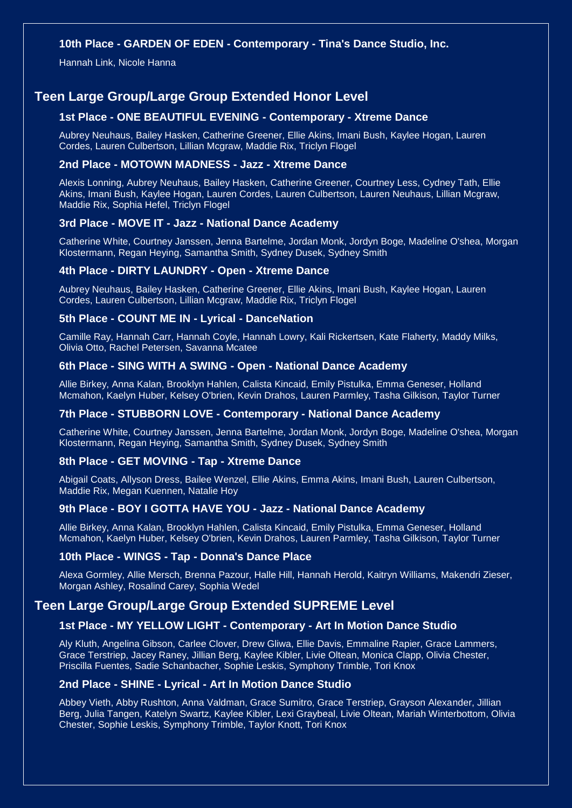#### **10th Place - GARDEN OF EDEN - Contemporary - Tina's Dance Studio, Inc.**

Hannah Link, Nicole Hanna

# **Teen Large Group/Large Group Extended Honor Level**

# **1st Place - ONE BEAUTIFUL EVENING - Contemporary - Xtreme Dance**

Aubrey Neuhaus, Bailey Hasken, Catherine Greener, Ellie Akins, Imani Bush, Kaylee Hogan, Lauren Cordes, Lauren Culbertson, Lillian Mcgraw, Maddie Rix, Triclyn Flogel

#### **2nd Place - MOTOWN MADNESS - Jazz - Xtreme Dance**

Alexis Lonning, Aubrey Neuhaus, Bailey Hasken, Catherine Greener, Courtney Less, Cydney Tath, Ellie Akins, Imani Bush, Kaylee Hogan, Lauren Cordes, Lauren Culbertson, Lauren Neuhaus, Lillian Mcgraw, Maddie Rix, Sophia Hefel, Triclyn Flogel

#### **3rd Place - MOVE IT - Jazz - National Dance Academy**

Catherine White, Courtney Janssen, Jenna Bartelme, Jordan Monk, Jordyn Boge, Madeline O'shea, Morgan Klostermann, Regan Heying, Samantha Smith, Sydney Dusek, Sydney Smith

### **4th Place - DIRTY LAUNDRY - Open - Xtreme Dance**

Aubrey Neuhaus, Bailey Hasken, Catherine Greener, Ellie Akins, Imani Bush, Kaylee Hogan, Lauren Cordes, Lauren Culbertson, Lillian Mcgraw, Maddie Rix, Triclyn Flogel

#### **5th Place - COUNT ME IN - Lyrical - DanceNation**

Camille Ray, Hannah Carr, Hannah Coyle, Hannah Lowry, Kali Rickertsen, Kate Flaherty, Maddy Milks, Olivia Otto, Rachel Petersen, Savanna Mcatee

#### **6th Place - SING WITH A SWING - Open - National Dance Academy**

Allie Birkey, Anna Kalan, Brooklyn Hahlen, Calista Kincaid, Emily Pistulka, Emma Geneser, Holland Mcmahon, Kaelyn Huber, Kelsey O'brien, Kevin Drahos, Lauren Parmley, Tasha Gilkison, Taylor Turner

#### **7th Place - STUBBORN LOVE - Contemporary - National Dance Academy**

Catherine White, Courtney Janssen, Jenna Bartelme, Jordan Monk, Jordyn Boge, Madeline O'shea, Morgan Klostermann, Regan Heying, Samantha Smith, Sydney Dusek, Sydney Smith

#### **8th Place - GET MOVING - Tap - Xtreme Dance**

Abigail Coats, Allyson Dress, Bailee Wenzel, Ellie Akins, Emma Akins, Imani Bush, Lauren Culbertson, Maddie Rix, Megan Kuennen, Natalie Hoy

#### **9th Place - BOY I GOTTA HAVE YOU - Jazz - National Dance Academy**

Allie Birkey, Anna Kalan, Brooklyn Hahlen, Calista Kincaid, Emily Pistulka, Emma Geneser, Holland Mcmahon, Kaelyn Huber, Kelsey O'brien, Kevin Drahos, Lauren Parmley, Tasha Gilkison, Taylor Turner

#### **10th Place - WINGS - Tap - Donna's Dance Place**

Alexa Gormley, Allie Mersch, Brenna Pazour, Halle Hill, Hannah Herold, Kaitryn Williams, Makendri Zieser, Morgan Ashley, Rosalind Carey, Sophia Wedel

### **Teen Large Group/Large Group Extended SUPREME Level**

#### **1st Place - MY YELLOW LIGHT - Contemporary - Art In Motion Dance Studio**

Aly Kluth, Angelina Gibson, Carlee Clover, Drew Gliwa, Ellie Davis, Emmaline Rapier, Grace Lammers, Grace Terstriep, Jacey Raney, Jillian Berg, Kaylee Kibler, Livie Oltean, Monica Clapp, Olivia Chester, Priscilla Fuentes, Sadie Schanbacher, Sophie Leskis, Symphony Trimble, Tori Knox

#### **2nd Place - SHINE - Lyrical - Art In Motion Dance Studio**

Abbey Vieth, Abby Rushton, Anna Valdman, Grace Sumitro, Grace Terstriep, Grayson Alexander, Jillian Berg, Julia Tangen, Katelyn Swartz, Kaylee Kibler, Lexi Graybeal, Livie Oltean, Mariah Winterbottom, Olivia Chester, Sophie Leskis, Symphony Trimble, Taylor Knott, Tori Knox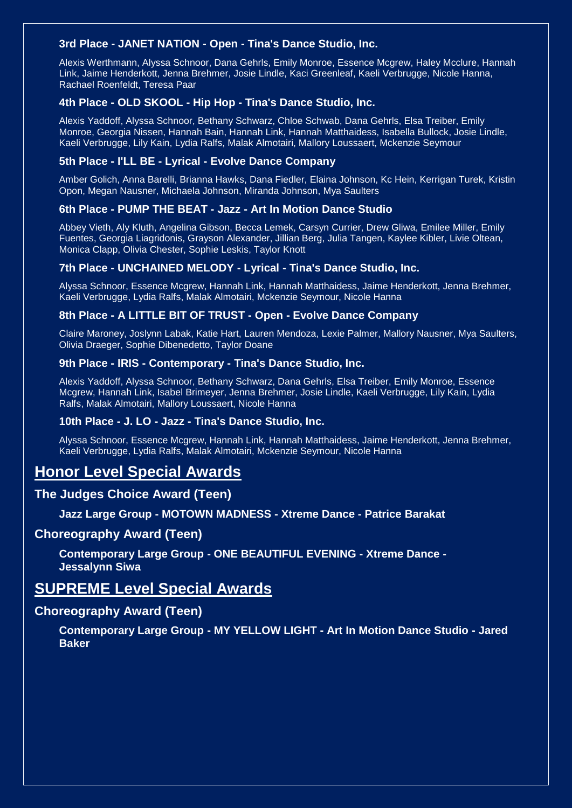### **3rd Place - JANET NATION - Open - Tina's Dance Studio, Inc.**

Alexis Werthmann, Alyssa Schnoor, Dana Gehrls, Emily Monroe, Essence Mcgrew, Haley Mcclure, Hannah Link, Jaime Henderkott, Jenna Brehmer, Josie Lindle, Kaci Greenleaf, Kaeli Verbrugge, Nicole Hanna, Rachael Roenfeldt, Teresa Paar

#### **4th Place - OLD SKOOL - Hip Hop - Tina's Dance Studio, Inc.**

Alexis Yaddoff, Alyssa Schnoor, Bethany Schwarz, Chloe Schwab, Dana Gehrls, Elsa Treiber, Emily Monroe, Georgia Nissen, Hannah Bain, Hannah Link, Hannah Matthaidess, Isabella Bullock, Josie Lindle, Kaeli Verbrugge, Lily Kain, Lydia Ralfs, Malak Almotairi, Mallory Loussaert, Mckenzie Seymour

#### **5th Place - I'LL BE - Lyrical - Evolve Dance Company**

Amber Golich, Anna Barelli, Brianna Hawks, Dana Fiedler, Elaina Johnson, Kc Hein, Kerrigan Turek, Kristin Opon, Megan Nausner, Michaela Johnson, Miranda Johnson, Mya Saulters

#### **6th Place - PUMP THE BEAT - Jazz - Art In Motion Dance Studio**

Abbey Vieth, Aly Kluth, Angelina Gibson, Becca Lemek, Carsyn Currier, Drew Gliwa, Emilee Miller, Emily Fuentes, Georgia Liagridonis, Grayson Alexander, Jillian Berg, Julia Tangen, Kaylee Kibler, Livie Oltean, Monica Clapp, Olivia Chester, Sophie Leskis, Taylor Knott

### **7th Place - UNCHAINED MELODY - Lyrical - Tina's Dance Studio, Inc.**

Alyssa Schnoor, Essence Mcgrew, Hannah Link, Hannah Matthaidess, Jaime Henderkott, Jenna Brehmer, Kaeli Verbrugge, Lydia Ralfs, Malak Almotairi, Mckenzie Seymour, Nicole Hanna

#### **8th Place - A LITTLE BIT OF TRUST - Open - Evolve Dance Company**

Claire Maroney, Joslynn Labak, Katie Hart, Lauren Mendoza, Lexie Palmer, Mallory Nausner, Mya Saulters, Olivia Draeger, Sophie Dibenedetto, Taylor Doane

#### **9th Place - IRIS - Contemporary - Tina's Dance Studio, Inc.**

Alexis Yaddoff, Alyssa Schnoor, Bethany Schwarz, Dana Gehrls, Elsa Treiber, Emily Monroe, Essence Mcgrew, Hannah Link, Isabel Brimeyer, Jenna Brehmer, Josie Lindle, Kaeli Verbrugge, Lily Kain, Lydia Ralfs, Malak Almotairi, Mallory Loussaert, Nicole Hanna

#### **10th Place - J. LO - Jazz - Tina's Dance Studio, Inc.**

Alyssa Schnoor, Essence Mcgrew, Hannah Link, Hannah Matthaidess, Jaime Henderkott, Jenna Brehmer, Kaeli Verbrugge, Lydia Ralfs, Malak Almotairi, Mckenzie Seymour, Nicole Hanna

# **Honor Level Special Awards**

### **The Judges Choice Award (Teen)**

### **Jazz Large Group - MOTOWN MADNESS - Xtreme Dance - Patrice Barakat**

### **Choreography Award (Teen)**

**Contemporary Large Group - ONE BEAUTIFUL EVENING - Xtreme Dance - Jessalynn Siwa**

# **SUPREME Level Special Awards**

### **Choreography Award (Teen)**

**Contemporary Large Group - MY YELLOW LIGHT - Art In Motion Dance Studio - Jared Baker**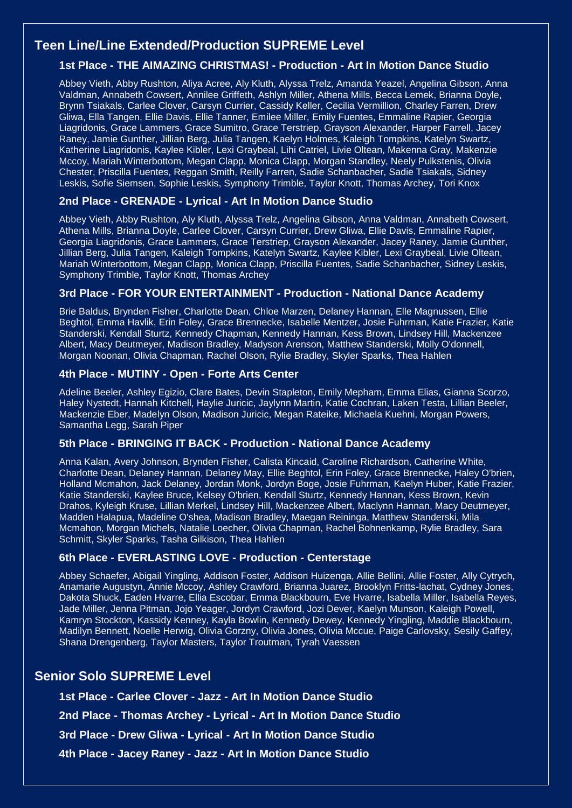# **Teen Line/Line Extended/Production SUPREME Level**

# **1st Place - THE AIMAZING CHRISTMAS! - Production - Art In Motion Dance Studio**

Abbey Vieth, Abby Rushton, Aliya Acree, Aly Kluth, Alyssa Trelz, Amanda Yeazel, Angelina Gibson, Anna Valdman, Annabeth Cowsert, Annilee Griffeth, Ashlyn Miller, Athena Mills, Becca Lemek, Brianna Doyle, Brynn Tsiakals, Carlee Clover, Carsyn Currier, Cassidy Keller, Cecilia Vermillion, Charley Farren, Drew Gliwa, Ella Tangen, Ellie Davis, Ellie Tanner, Emilee Miller, Emily Fuentes, Emmaline Rapier, Georgia Liagridonis, Grace Lammers, Grace Sumitro, Grace Terstriep, Grayson Alexander, Harper Farrell, Jacey Raney, Jamie Gunther, Jillian Berg, Julia Tangen, Kaelyn Holmes, Kaleigh Tompkins, Katelyn Swartz, Katherine Liagridonis, Kaylee Kibler, Lexi Graybeal, Lihi Catriel, Livie Oltean, Makenna Gray, Makenzie Mccoy, Mariah Winterbottom, Megan Clapp, Monica Clapp, Morgan Standley, Neely Pulkstenis, Olivia Chester, Priscilla Fuentes, Reggan Smith, Reilly Farren, Sadie Schanbacher, Sadie Tsiakals, Sidney Leskis, Sofie Siemsen, Sophie Leskis, Symphony Trimble, Taylor Knott, Thomas Archey, Tori Knox

### **2nd Place - GRENADE - Lyrical - Art In Motion Dance Studio**

Abbey Vieth, Abby Rushton, Aly Kluth, Alyssa Trelz, Angelina Gibson, Anna Valdman, Annabeth Cowsert, Athena Mills, Brianna Doyle, Carlee Clover, Carsyn Currier, Drew Gliwa, Ellie Davis, Emmaline Rapier, Georgia Liagridonis, Grace Lammers, Grace Terstriep, Grayson Alexander, Jacey Raney, Jamie Gunther, Jillian Berg, Julia Tangen, Kaleigh Tompkins, Katelyn Swartz, Kaylee Kibler, Lexi Graybeal, Livie Oltean, Mariah Winterbottom, Megan Clapp, Monica Clapp, Priscilla Fuentes, Sadie Schanbacher, Sidney Leskis, Symphony Trimble, Taylor Knott, Thomas Archey

### **3rd Place - FOR YOUR ENTERTAINMENT - Production - National Dance Academy**

Brie Baldus, Brynden Fisher, Charlotte Dean, Chloe Marzen, Delaney Hannan, Elle Magnussen, Ellie Beghtol, Emma Havlik, Erin Foley, Grace Brennecke, Isabelle Mentzer, Josie Fuhrman, Katie Frazier, Katie Standerski, Kendall Sturtz, Kennedy Chapman, Kennedy Hannan, Kess Brown, Lindsey Hill, Mackenzee Albert, Macy Deutmeyer, Madison Bradley, Madyson Arenson, Matthew Standerski, Molly O'donnell, Morgan Noonan, Olivia Chapman, Rachel Olson, Rylie Bradley, Skyler Sparks, Thea Hahlen

#### **4th Place - MUTINY - Open - Forte Arts Center**

Adeline Beeler, Ashley Egizio, Clare Bates, Devin Stapleton, Emily Mepham, Emma Elias, Gianna Scorzo, Haley Nystedt, Hannah Kitchell, Haylie Juricic, Jaylynn Martin, Katie Cochran, Laken Testa, Lillian Beeler, Mackenzie Eber, Madelyn Olson, Madison Juricic, Megan Rateike, Michaela Kuehni, Morgan Powers, Samantha Legg, Sarah Piper

#### **5th Place - BRINGING IT BACK - Production - National Dance Academy**

Anna Kalan, Avery Johnson, Brynden Fisher, Calista Kincaid, Caroline Richardson, Catherine White, Charlotte Dean, Delaney Hannan, Delaney May, Ellie Beghtol, Erin Foley, Grace Brennecke, Haley O'brien, Holland Mcmahon, Jack Delaney, Jordan Monk, Jordyn Boge, Josie Fuhrman, Kaelyn Huber, Katie Frazier, Katie Standerski, Kaylee Bruce, Kelsey O'brien, Kendall Sturtz, Kennedy Hannan, Kess Brown, Kevin Drahos, Kyleigh Kruse, Lillian Merkel, Lindsey Hill, Mackenzee Albert, Maclynn Hannan, Macy Deutmeyer, Madden Halapua, Madeline O'shea, Madison Bradley, Maegan Reininga, Matthew Standerski, Mila Mcmahon, Morgan Michels, Natalie Loecher, Olivia Chapman, Rachel Bohnenkamp, Rylie Bradley, Sara Schmitt, Skyler Sparks, Tasha Gilkison, Thea Hahlen

#### **6th Place - EVERLASTING LOVE - Production - Centerstage**

Abbey Schaefer, Abigail Yingling, Addison Foster, Addison Huizenga, Allie Bellini, Allie Foster, Ally Cytrych, Anamarie Augustyn, Annie Mccoy, Ashley Crawford, Brianna Juarez, Brooklyn Fritts-lachat, Cydney Jones, Dakota Shuck, Eaden Hvarre, Ellia Escobar, Emma Blackbourn, Eve Hvarre, Isabella Miller, Isabella Reyes, Jade Miller, Jenna Pitman, Jojo Yeager, Jordyn Crawford, Jozi Dever, Kaelyn Munson, Kaleigh Powell, Kamryn Stockton, Kassidy Kenney, Kayla Bowlin, Kennedy Dewey, Kennedy Yingling, Maddie Blackbourn, Madilyn Bennett, Noelle Herwig, Olivia Gorzny, Olivia Jones, Olivia Mccue, Paige Carlovsky, Sesily Gaffey, Shana Drengenberg, Taylor Masters, Taylor Troutman, Tyrah Vaessen

# **Senior Solo SUPREME Level**

**1st Place - Carlee Clover - Jazz - Art In Motion Dance Studio**

**2nd Place - Thomas Archey - Lyrical - Art In Motion Dance Studio**

**3rd Place - Drew Gliwa - Lyrical - Art In Motion Dance Studio**

**4th Place - Jacey Raney - Jazz - Art In Motion Dance Studio**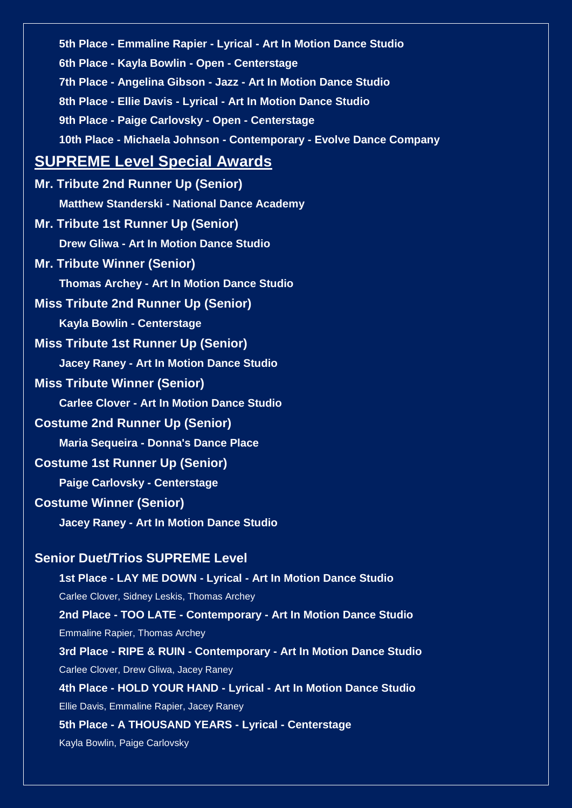**5th Place - Emmaline Rapier - Lyrical - Art In Motion Dance Studio 6th Place - Kayla Bowlin - Open - Centerstage 7th Place - Angelina Gibson - Jazz - Art In Motion Dance Studio 8th Place - Ellie Davis - Lyrical - Art In Motion Dance Studio 9th Place - Paige Carlovsky - Open - Centerstage 10th Place - Michaela Johnson - Contemporary - Evolve Dance Company SUPREME Level Special Awards Mr. Tribute 2nd Runner Up (Senior) Matthew Standerski - National Dance Academy Mr. Tribute 1st Runner Up (Senior) Drew Gliwa - Art In Motion Dance Studio Mr. Tribute Winner (Senior) Thomas Archey - Art In Motion Dance Studio Miss Tribute 2nd Runner Up (Senior) Kayla Bowlin - Centerstage Miss Tribute 1st Runner Up (Senior) Jacey Raney - Art In Motion Dance Studio Miss Tribute Winner (Senior) Carlee Clover - Art In Motion Dance Studio Costume 2nd Runner Up (Senior) Maria Sequeira - Donna's Dance Place Costume 1st Runner Up (Senior) Paige Carlovsky - Centerstage Costume Winner (Senior) Jacey Raney - Art In Motion Dance Studio Senior Duet/Trios SUPREME Level 1st Place - LAY ME DOWN - Lyrical - Art In Motion Dance Studio** Carlee Clover, Sidney Leskis, Thomas Archey **2nd Place - TOO LATE - Contemporary - Art In Motion Dance Studio** Emmaline Rapier, Thomas Archey **3rd Place - RIPE & RUIN - Contemporary - Art In Motion Dance Studio** Carlee Clover, Drew Gliwa, Jacey Raney **4th Place - HOLD YOUR HAND - Lyrical - Art In Motion Dance Studio** Ellie Davis, Emmaline Rapier, Jacey Raney **5th Place - A THOUSAND YEARS - Lyrical - Centerstage**

Kayla Bowlin, Paige Carlovsky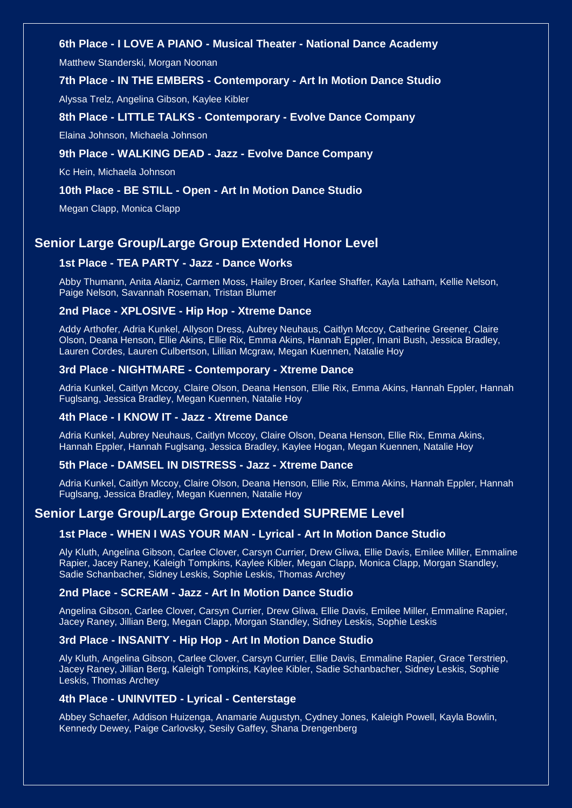## **6th Place - I LOVE A PIANO - Musical Theater - National Dance Academy**

Matthew Standerski, Morgan Noonan

#### **7th Place - IN THE EMBERS - Contemporary - Art In Motion Dance Studio**

Alyssa Trelz, Angelina Gibson, Kaylee Kibler

#### **8th Place - LITTLE TALKS - Contemporary - Evolve Dance Company**

Elaina Johnson, Michaela Johnson

#### **9th Place - WALKING DEAD - Jazz - Evolve Dance Company**

Kc Hein, Michaela Johnson

#### **10th Place - BE STILL - Open - Art In Motion Dance Studio**

Megan Clapp, Monica Clapp

# **Senior Large Group/Large Group Extended Honor Level**

#### **1st Place - TEA PARTY - Jazz - Dance Works**

Abby Thumann, Anita Alaniz, Carmen Moss, Hailey Broer, Karlee Shaffer, Kayla Latham, Kellie Nelson, Paige Nelson, Savannah Roseman, Tristan Blumer

#### **2nd Place - XPLOSIVE - Hip Hop - Xtreme Dance**

Addy Arthofer, Adria Kunkel, Allyson Dress, Aubrey Neuhaus, Caitlyn Mccoy, Catherine Greener, Claire Olson, Deana Henson, Ellie Akins, Ellie Rix, Emma Akins, Hannah Eppler, Imani Bush, Jessica Bradley, Lauren Cordes, Lauren Culbertson, Lillian Mcgraw, Megan Kuennen, Natalie Hoy

#### **3rd Place - NIGHTMARE - Contemporary - Xtreme Dance**

Adria Kunkel, Caitlyn Mccoy, Claire Olson, Deana Henson, Ellie Rix, Emma Akins, Hannah Eppler, Hannah Fuglsang, Jessica Bradley, Megan Kuennen, Natalie Hoy

#### **4th Place - I KNOW IT - Jazz - Xtreme Dance**

Adria Kunkel, Aubrey Neuhaus, Caitlyn Mccoy, Claire Olson, Deana Henson, Ellie Rix, Emma Akins, Hannah Eppler, Hannah Fuglsang, Jessica Bradley, Kaylee Hogan, Megan Kuennen, Natalie Hoy

#### **5th Place - DAMSEL IN DISTRESS - Jazz - Xtreme Dance**

Adria Kunkel, Caitlyn Mccoy, Claire Olson, Deana Henson, Ellie Rix, Emma Akins, Hannah Eppler, Hannah Fuglsang, Jessica Bradley, Megan Kuennen, Natalie Hoy

# **Senior Large Group/Large Group Extended SUPREME Level**

# **1st Place - WHEN I WAS YOUR MAN - Lyrical - Art In Motion Dance Studio**

Aly Kluth, Angelina Gibson, Carlee Clover, Carsyn Currier, Drew Gliwa, Ellie Davis, Emilee Miller, Emmaline Rapier, Jacey Raney, Kaleigh Tompkins, Kaylee Kibler, Megan Clapp, Monica Clapp, Morgan Standley, Sadie Schanbacher, Sidney Leskis, Sophie Leskis, Thomas Archey

#### **2nd Place - SCREAM - Jazz - Art In Motion Dance Studio**

Angelina Gibson, Carlee Clover, Carsyn Currier, Drew Gliwa, Ellie Davis, Emilee Miller, Emmaline Rapier, Jacey Raney, Jillian Berg, Megan Clapp, Morgan Standley, Sidney Leskis, Sophie Leskis

#### **3rd Place - INSANITY - Hip Hop - Art In Motion Dance Studio**

Aly Kluth, Angelina Gibson, Carlee Clover, Carsyn Currier, Ellie Davis, Emmaline Rapier, Grace Terstriep, Jacey Raney, Jillian Berg, Kaleigh Tompkins, Kaylee Kibler, Sadie Schanbacher, Sidney Leskis, Sophie Leskis, Thomas Archey

### **4th Place - UNINVITED - Lyrical - Centerstage**

Abbey Schaefer, Addison Huizenga, Anamarie Augustyn, Cydney Jones, Kaleigh Powell, Kayla Bowlin, Kennedy Dewey, Paige Carlovsky, Sesily Gaffey, Shana Drengenberg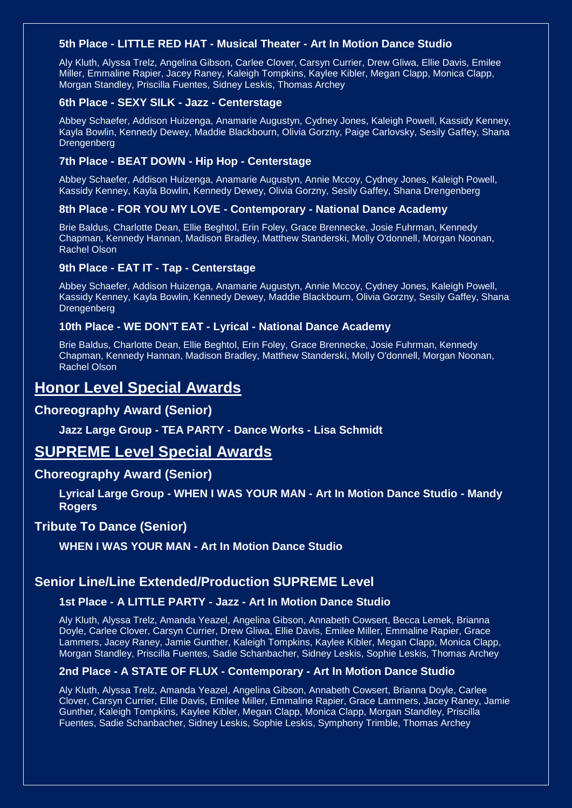#### **5th Place - LITTLE RED HAT - Musical Theater - Art In Motion Dance Studio**

Aly Kluth, Alyssa Trelz, Angelina Gibson, Carlee Clover, Carsyn Currier, Drew Gliwa, Ellie Davis, Emilee Miller, Emmaline Rapier, Jacey Raney, Kaleigh Tompkins, Kaylee Kibler, Megan Clapp, Monica Clapp, Morgan Standley, Priscilla Fuentes, Sidney Leskis, Thomas Archey

#### **6th Place - SEXY SILK - Jazz - Centerstage**

Abbey Schaefer, Addison Huizenga, Anamarie Augustyn, Cydney Jones, Kaleigh Powell, Kassidy Kenney, Kayla Bowlin, Kennedy Dewey, Maddie Blackbourn, Olivia Gorzny, Paige Carlovsky, Sesily Gaffey, Shana **Drengenberg** 

#### **7th Place - BEAT DOWN - Hip Hop - Centerstage**

Abbey Schaefer, Addison Huizenga, Anamarie Augustyn, Annie Mccoy, Cydney Jones, Kaleigh Powell, Kassidy Kenney, Kayla Bowlin, Kennedy Dewey, Olivia Gorzny, Sesily Gaffey, Shana Drengenberg

# **8th Place - FOR YOU MY LOVE - Contemporary - National Dance Academy**

Brie Baldus, Charlotte Dean, Ellie Beghtol, Erin Foley, Grace Brennecke, Josie Fuhrman, Kennedy Chapman, Kennedy Hannan, Madison Bradley, Matthew Standerski, Molly O'donnell, Morgan Noonan, Rachel Olson

#### **9th Place - EAT IT - Tap - Centerstage**

Abbey Schaefer, Addison Huizenga, Anamarie Augustyn, Annie Mccoy, Cydney Jones, Kaleigh Powell, Kassidy Kenney, Kayla Bowlin, Kennedy Dewey, Maddie Blackbourn, Olivia Gorzny, Sesily Gaffey, Shana **Drengenberg** 

#### **10th Place - WE DON'T EAT - Lyrical - National Dance Academy**

Brie Baldus, Charlotte Dean, Ellie Beghtol, Erin Foley, Grace Brennecke, Josie Fuhrman, Kennedy Chapman, Kennedy Hannan, Madison Bradley, Matthew Standerski, Molly O'donnell, Morgan Noonan, Rachel Olson

# **Honor Level Special Awards**

### **Choreography Award (Senior)**

**Jazz Large Group - TEA PARTY - Dance Works - Lisa Schmidt**

# **SUPREME Level Special Awards**

#### **Choreography Award (Senior)**

**Lyrical Large Group - WHEN I WAS YOUR MAN - Art In Motion Dance Studio - Mandy Rogers**

#### **Tribute To Dance (Senior)**

**WHEN I WAS YOUR MAN - Art In Motion Dance Studio**

### **Senior Line/Line Extended/Production SUPREME Level**

### **1st Place - A LITTLE PARTY - Jazz - Art In Motion Dance Studio**

Aly Kluth, Alyssa Trelz, Amanda Yeazel, Angelina Gibson, Annabeth Cowsert, Becca Lemek, Brianna Doyle, Carlee Clover, Carsyn Currier, Drew Gliwa, Ellie Davis, Emilee Miller, Emmaline Rapier, Grace Lammers, Jacey Raney, Jamie Gunther, Kaleigh Tompkins, Kaylee Kibler, Megan Clapp, Monica Clapp, Morgan Standley, Priscilla Fuentes, Sadie Schanbacher, Sidney Leskis, Sophie Leskis, Thomas Archey

#### **2nd Place - A STATE OF FLUX - Contemporary - Art In Motion Dance Studio**

Aly Kluth, Alyssa Trelz, Amanda Yeazel, Angelina Gibson, Annabeth Cowsert, Brianna Doyle, Carlee Clover, Carsyn Currier, Ellie Davis, Emilee Miller, Emmaline Rapier, Grace Lammers, Jacey Raney, Jamie Gunther, Kaleigh Tompkins, Kaylee Kibler, Megan Clapp, Monica Clapp, Morgan Standley, Priscilla Fuentes, Sadie Schanbacher, Sidney Leskis, Sophie Leskis, Symphony Trimble, Thomas Archey